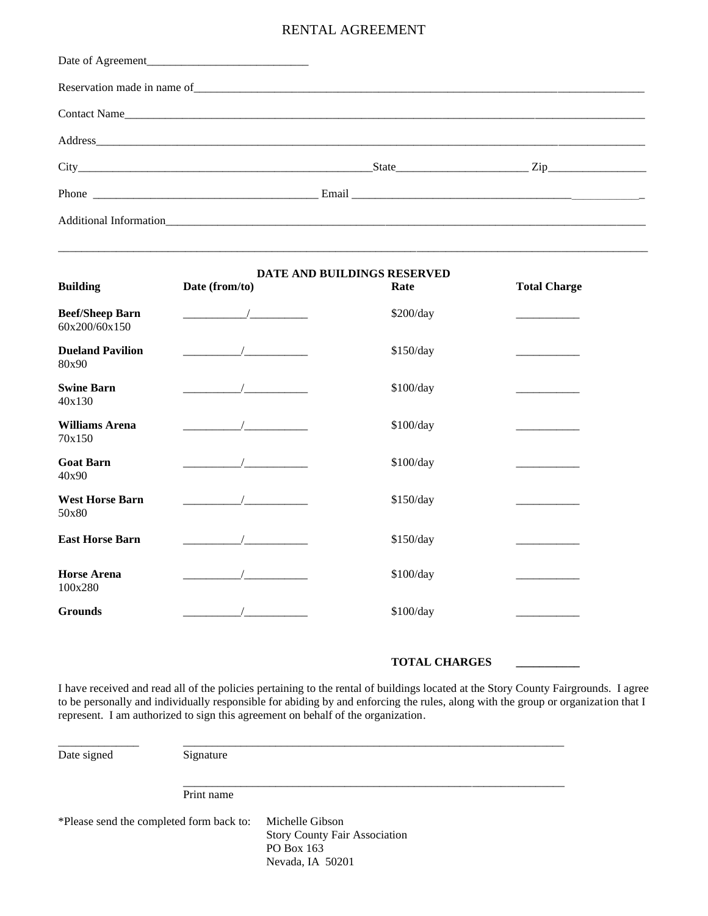## RENTAL AGREEMENT

| Contact Name |               |  |
|--------------|---------------|--|
|              |               |  |
|              | $State$ $Zip$ |  |
|              |               |  |
|              |               |  |

\_\_\_\_\_\_\_\_\_\_\_\_\_\_\_\_\_\_\_\_\_\_\_\_\_\_\_\_\_\_\_\_\_\_\_\_\_\_\_\_\_\_\_\_\_\_\_\_\_\_\_\_\_\_\_\_\_\_\_\_\_\_\_\_\_\_\_\_\_\_\_\_\_\_\_\_\_\_\_\_\_\_\_\_\_\_\_\_\_\_\_\_\_\_\_\_\_\_\_\_\_\_

| <b>Building</b>                         | Date (from/to) | DATE AND BUILDINGS RESERVED<br>Rate | <b>Total Charge</b> |
|-----------------------------------------|----------------|-------------------------------------|---------------------|
| <b>Beef/Sheep Barn</b><br>60x200/60x150 |                | \$200/day                           |                     |
| <b>Dueland Pavilion</b><br>80x90        |                | \$150/day                           |                     |
| <b>Swine Barn</b><br>40x130             |                | \$100/day                           |                     |
| <b>Williams Arena</b><br>70x150         |                | \$100/day                           |                     |
| <b>Goat Barn</b><br>40x90               |                | \$100/day                           |                     |
| <b>West Horse Barn</b><br>50x80         |                | \$150/day                           |                     |
| <b>East Horse Barn</b>                  |                | \$150/day                           |                     |
| <b>Horse Arena</b><br>100x280           |                | \$100/day                           |                     |
| <b>Grounds</b>                          |                | \$100/day                           |                     |

## **TOTAL CHARGES \_\_\_\_\_\_\_\_\_\_\_**

I have received and read all of the policies pertaining to the rental of buildings located at the Story County Fairgrounds. I agree to be personally and individually responsible for abiding by and enforcing the rules, along with the group or organization that I represent. I am authorized to sign this agreement on behalf of the organization.

\_\_\_\_\_\_\_\_\_\_\_\_\_\_\_\_\_\_\_\_\_\_\_\_\_\_\_\_\_\_\_\_\_\_\_\_\_\_\_\_\_\_\_\_\_\_\_\_\_\_\_\_\_\_\_\_\_\_\_\_\_\_\_\_\_\_

Date signed Signature

Print name

\*Please send the completed form back to: Michelle Gibson

Story County Fair Association PO Box 163 Nevada, IA 50201

\_\_\_\_\_\_\_\_\_\_\_\_\_\_ \_\_\_\_\_\_\_\_\_\_\_\_\_\_\_\_\_\_\_\_\_\_\_\_\_\_\_\_\_\_\_\_\_\_\_\_\_\_\_\_\_\_\_\_\_\_\_\_\_\_\_\_\_\_\_\_\_\_\_\_\_\_\_\_\_\_